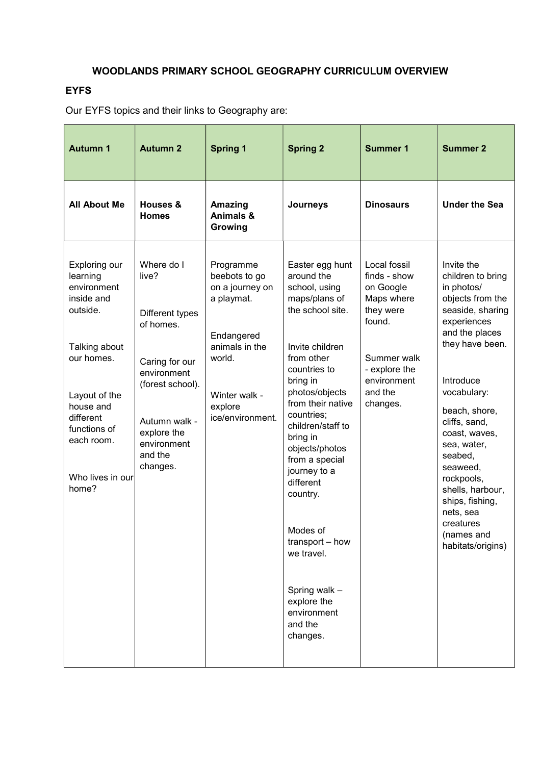# WOODLANDS PRIMARY SCHOOL GEOGRAPHY CURRICULUM OVERVIEW

## EYFS

Our EYFS topics and their links to Geography are:

| <b>Autumn 1</b>                                                                                                                                                                                         | <b>Autumn 2</b>                                                                                                                                                                | <b>Spring 1</b>                                                                                                                                       | <b>Spring 2</b>                                                                                                                                                                                                                                                                                                                                                                                                                        | <b>Summer 1</b>                                                                                                                                      | <b>Summer 2</b>                                                                                                                                                                                                                                                                                                                                                                  |
|---------------------------------------------------------------------------------------------------------------------------------------------------------------------------------------------------------|--------------------------------------------------------------------------------------------------------------------------------------------------------------------------------|-------------------------------------------------------------------------------------------------------------------------------------------------------|----------------------------------------------------------------------------------------------------------------------------------------------------------------------------------------------------------------------------------------------------------------------------------------------------------------------------------------------------------------------------------------------------------------------------------------|------------------------------------------------------------------------------------------------------------------------------------------------------|----------------------------------------------------------------------------------------------------------------------------------------------------------------------------------------------------------------------------------------------------------------------------------------------------------------------------------------------------------------------------------|
| <b>All About Me</b>                                                                                                                                                                                     | Houses &<br><b>Homes</b>                                                                                                                                                       | <b>Amazing</b><br>Animals &<br>Growing                                                                                                                | Journeys                                                                                                                                                                                                                                                                                                                                                                                                                               | <b>Dinosaurs</b>                                                                                                                                     | <b>Under the Sea</b>                                                                                                                                                                                                                                                                                                                                                             |
| Exploring our<br>learning<br>environment<br>inside and<br>outside.<br>Talking about<br>our homes.<br>Layout of the<br>house and<br>different<br>functions of<br>each room.<br>Who lives in our<br>home? | Where do I<br>live?<br>Different types<br>of homes.<br>Caring for our<br>environment<br>(forest school).<br>Autumn walk -<br>explore the<br>environment<br>and the<br>changes. | Programme<br>beebots to go<br>on a journey on<br>a playmat.<br>Endangered<br>animals in the<br>world.<br>Winter walk -<br>explore<br>ice/environment. | Easter egg hunt<br>around the<br>school, using<br>maps/plans of<br>the school site.<br>Invite children<br>from other<br>countries to<br>bring in<br>photos/objects<br>from their native<br>countries;<br>children/staff to<br>bring in<br>objects/photos<br>from a special<br>journey to a<br>different<br>country.<br>Modes of<br>transport - how<br>we travel.<br>Spring walk -<br>explore the<br>environment<br>and the<br>changes. | Local fossil<br>finds - show<br>on Google<br>Maps where<br>they were<br>found.<br>Summer walk<br>- explore the<br>environment<br>and the<br>changes. | Invite the<br>children to bring<br>in photos/<br>objects from the<br>seaside, sharing<br>experiences<br>and the places<br>they have been.<br>Introduce<br>vocabulary:<br>beach, shore,<br>cliffs, sand,<br>coast, waves,<br>sea, water,<br>seabed,<br>seaweed,<br>rockpools,<br>shells, harbour,<br>ships, fishing,<br>nets, sea<br>creatures<br>(names and<br>habitats/origins) |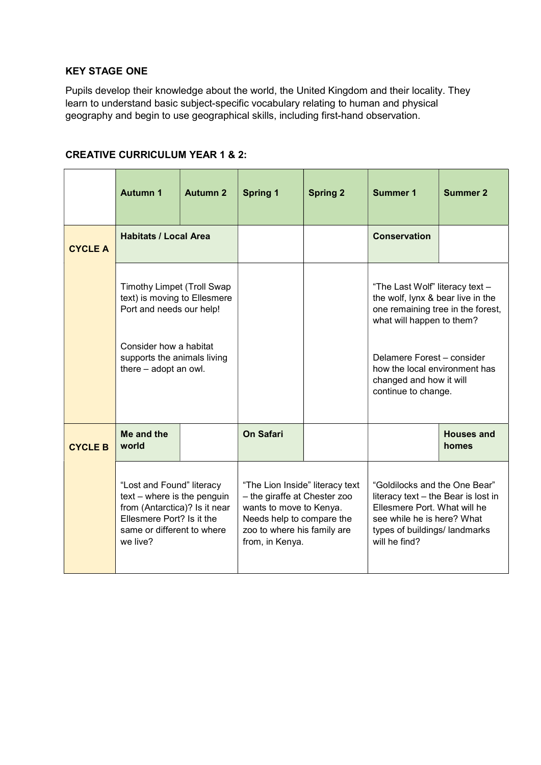## KEY STAGE ONE

Pupils develop their knowledge about the world, the United Kingdom and their locality. They learn to understand basic subject-specific vocabulary relating to human and physical geography and begin to use geographical skills, including first-hand observation.

## CREATIVE CURRICULUM YEAR 1 & 2:

|                | <b>Autumn 1</b>                                                                                                                                                                 | <b>Autumn 2</b> | <b>Spring 1</b>                                                                                                                                                           | <b>Spring 2</b> | <b>Summer 1</b>                                                                                                                                                                                                                                         | <b>Summer 2</b>            |
|----------------|---------------------------------------------------------------------------------------------------------------------------------------------------------------------------------|-----------------|---------------------------------------------------------------------------------------------------------------------------------------------------------------------------|-----------------|---------------------------------------------------------------------------------------------------------------------------------------------------------------------------------------------------------------------------------------------------------|----------------------------|
| <b>CYCLE A</b> | <b>Habitats / Local Area</b>                                                                                                                                                    |                 |                                                                                                                                                                           |                 | <b>Conservation</b>                                                                                                                                                                                                                                     |                            |
|                | <b>Timothy Limpet (Troll Swap</b><br>text) is moving to Ellesmere<br>Port and needs our help!<br>Consider how a habitat<br>supports the animals living<br>there - adopt an owl. |                 |                                                                                                                                                                           |                 | "The Last Wolf" literacy text -<br>the wolf, Iynx & bear live in the<br>one remaining tree in the forest,<br>what will happen to them?<br>Delamere Forest - consider<br>how the local environment has<br>changed and how it will<br>continue to change. |                            |
| <b>CYCLE B</b> | Me and the<br>world                                                                                                                                                             |                 | <b>On Safari</b>                                                                                                                                                          |                 |                                                                                                                                                                                                                                                         | <b>Houses and</b><br>homes |
|                | "Lost and Found" literacy<br>$text - where is the penguin$<br>from (Antarctica)? Is it near<br>Ellesmere Port? Is it the<br>same or different to where<br>we live?              |                 | "The Lion Inside" literacy text<br>- the giraffe at Chester zoo<br>wants to move to Kenya.<br>Needs help to compare the<br>zoo to where his family are<br>from, in Kenya. |                 | "Goldilocks and the One Bear"<br>literacy text - the Bear is lost in<br>Ellesmere Port. What will he<br>see while he is here? What<br>types of buildings/ landmarks<br>will he find?                                                                    |                            |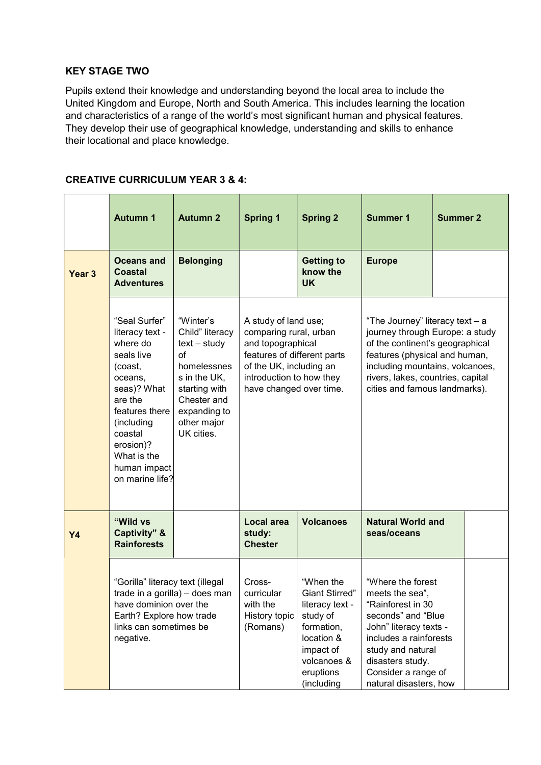## KEY STAGE TWO

Pupils extend their knowledge and understanding beyond the local area to include the United Kingdom and Europe, North and South America. This includes learning the location and characteristics of a range of the world's most significant human and physical features. They develop their use of geographical knowledge, understanding and skills to enhance their locational and place knowledge.

#### CREATIVE CURRICULUM YEAR 3 & 4:

|                   | <b>Autumn 1</b>                                                                                                                                                                                                      | <b>Autumn 2</b>                                                                                                                                                  | <b>Spring 1</b>                                                                                                                                                                      | <b>Spring 2</b>                                                                                                                                      | <b>Summer 1</b>                                                                                                                                                                                                                                 | <b>Summer 2</b> |
|-------------------|----------------------------------------------------------------------------------------------------------------------------------------------------------------------------------------------------------------------|------------------------------------------------------------------------------------------------------------------------------------------------------------------|--------------------------------------------------------------------------------------------------------------------------------------------------------------------------------------|------------------------------------------------------------------------------------------------------------------------------------------------------|-------------------------------------------------------------------------------------------------------------------------------------------------------------------------------------------------------------------------------------------------|-----------------|
| Year <sub>3</sub> | Oceans and<br><b>Coastal</b><br><b>Adventures</b>                                                                                                                                                                    | <b>Belonging</b>                                                                                                                                                 |                                                                                                                                                                                      | <b>Getting to</b><br>know the<br><b>UK</b>                                                                                                           | <b>Europe</b>                                                                                                                                                                                                                                   |                 |
|                   | "Seal Surfer"<br>literacy text -<br>where do<br>seals live<br>(coast,<br>oceans,<br>seas)? What<br>are the<br>features there<br>(including<br>coastal<br>erosion)?<br>What is the<br>human impact<br>on marine life? | "Winter's<br>Child" literacy<br>$text - study$<br>of<br>homelessnes<br>s in the UK,<br>starting with<br>Chester and<br>expanding to<br>other major<br>UK cities. | A study of land use;<br>comparing rural, urban<br>and topographical<br>features of different parts<br>of the UK, including an<br>introduction to how they<br>have changed over time. |                                                                                                                                                      | "The Journey" literacy text - a<br>journey through Europe: a study<br>of the continent's geographical<br>features (physical and human,<br>including mountains, volcanoes,<br>rivers, lakes, countries, capital<br>cities and famous landmarks). |                 |
| Y4                | "Wild vs<br><b>Captivity</b> " &<br><b>Rainforests</b>                                                                                                                                                               |                                                                                                                                                                  | Local area<br>study:<br><b>Chester</b>                                                                                                                                               | <b>Volcanoes</b>                                                                                                                                     | <b>Natural World and</b><br>seas/oceans                                                                                                                                                                                                         |                 |
|                   | "Gorilla" literacy text (illegal<br>trade in a gorilla) - does man<br>have dominion over the<br>Earth? Explore how trade<br>links can sometimes be<br>negative.                                                      |                                                                                                                                                                  | Cross-<br>curricular<br>with the<br>History topic<br>(Romans)                                                                                                                        | "When the<br><b>Giant Stirred"</b><br>literacy text -<br>study of<br>formation,<br>location &<br>impact of<br>volcanoes &<br>eruptions<br>(including | "Where the forest<br>meets the sea",<br>"Rainforest in 30<br>seconds" and "Blue<br>John" literacy texts -<br>includes a rainforests<br>study and natural<br>disasters study.<br>Consider a range of<br>natural disasters, how                   |                 |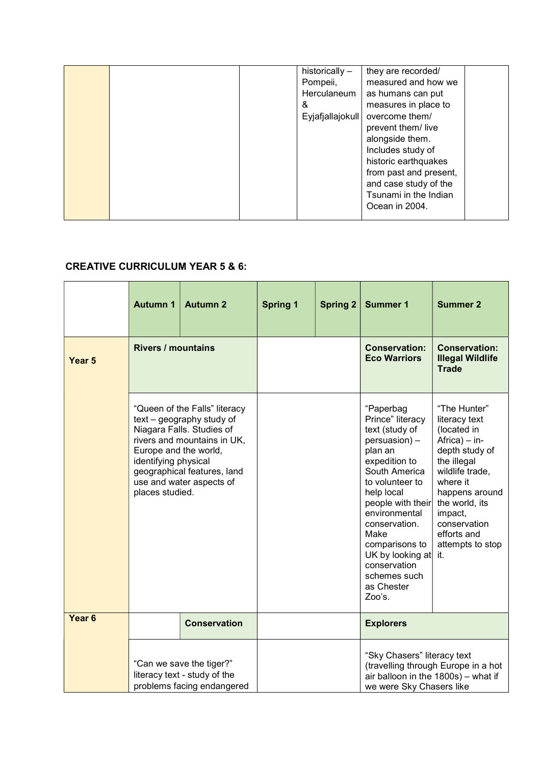|  | historically -<br>Pompeii,<br>Herculaneum<br>& | they are recorded/<br>measured and how we<br>as humans can put<br>measures in place to                                                                                                            |  |
|--|------------------------------------------------|---------------------------------------------------------------------------------------------------------------------------------------------------------------------------------------------------|--|
|  | Eyjafjallajokull                               | overcome them/<br>prevent them/live<br>alongside them.<br>Includes study of<br>historic earthquakes<br>from past and present,<br>and case study of the<br>Tsunami in the Indian<br>Ocean in 2004. |  |

# CREATIVE CURRICULUM YEAR 5 & 6:

|                   | <b>Autumn 1</b>                                                                                                                                                                                                                                       | <b>Autumn 2</b>     | <b>Spring 1</b> | <b>Spring 2</b> | <b>Summer 1</b>                                                                                                                                                                                                                                                                                             | <b>Summer 2</b>                                                                                                                                                                                                                        |
|-------------------|-------------------------------------------------------------------------------------------------------------------------------------------------------------------------------------------------------------------------------------------------------|---------------------|-----------------|-----------------|-------------------------------------------------------------------------------------------------------------------------------------------------------------------------------------------------------------------------------------------------------------------------------------------------------------|----------------------------------------------------------------------------------------------------------------------------------------------------------------------------------------------------------------------------------------|
| Year <sub>5</sub> | <b>Rivers / mountains</b>                                                                                                                                                                                                                             |                     |                 |                 | <b>Conservation:</b><br><b>Eco Warriors</b>                                                                                                                                                                                                                                                                 | <b>Conservation:</b><br><b>Illegal Wildlife</b><br><b>Trade</b>                                                                                                                                                                        |
|                   | "Queen of the Falls" literacy<br>text - geography study of<br>Niagara Falls. Studies of<br>rivers and mountains in UK,<br>Europe and the world,<br>identifying physical<br>geographical features, land<br>use and water aspects of<br>places studied. |                     |                 |                 | "Paperbag<br>Prince" literacy<br>text (study of<br>persuasion) -<br>plan an<br>expedition to<br>South America<br>to volunteer to<br>help local<br>people with their<br>environmental<br>conservation.<br>Make<br>comparisons to<br>UK by looking at<br>conservation<br>schemes such<br>as Chester<br>Zoo's. | "The Hunter"<br>literacy text<br>(located in<br>Africa) - in-<br>depth study of<br>the illegal<br>wildlife trade,<br>where it<br>happens around<br>the world, its<br>impact,<br>conservation<br>efforts and<br>attempts to stop<br>it. |
| Year <sub>6</sub> |                                                                                                                                                                                                                                                       | <b>Conservation</b> |                 |                 | <b>Explorers</b>                                                                                                                                                                                                                                                                                            |                                                                                                                                                                                                                                        |
|                   | "Can we save the tiger?"<br>literacy text - study of the<br>problems facing endangered                                                                                                                                                                |                     |                 |                 | "Sky Chasers" literacy text<br>we were Sky Chasers like                                                                                                                                                                                                                                                     | (travelling through Europe in a hot<br>air balloon in the 1800s) - what if                                                                                                                                                             |